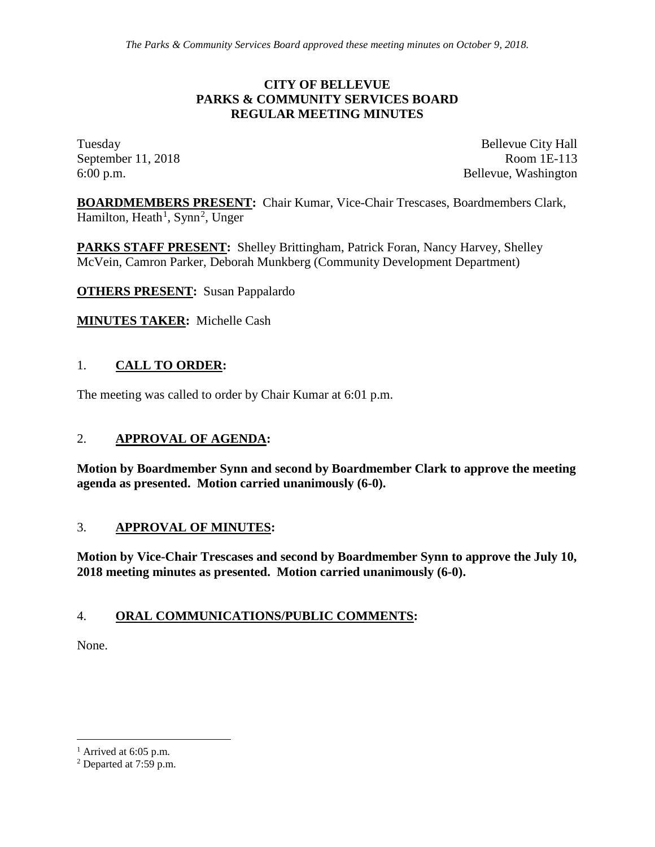### **CITY OF BELLEVUE PARKS & COMMUNITY SERVICES BOARD REGULAR MEETING MINUTES**

Tuesday Bellevue City Hall September 11, 2018 Room 1E-113 6:00 p.m. Bellevue, Washington

**BOARDMEMBERS PRESENT:** Chair Kumar, Vice-Chair Trescases, Boardmembers Clark, Hamilton, Heath<sup>[1](#page-0-0)</sup>, Synn<sup>[2](#page-0-1)</sup>, Unger

**PARKS STAFF PRESENT:** Shelley Brittingham, Patrick Foran, Nancy Harvey, Shelley McVein, Camron Parker, Deborah Munkberg (Community Development Department)

**OTHERS PRESENT:** Susan Pappalardo

**MINUTES TAKER:** Michelle Cash

## 1. **CALL TO ORDER:**

The meeting was called to order by Chair Kumar at 6:01 p.m.

### 2. **APPROVAL OF AGENDA:**

**Motion by Boardmember Synn and second by Boardmember Clark to approve the meeting agenda as presented. Motion carried unanimously (6-0).**

#### 3. **APPROVAL OF MINUTES:**

**Motion by Vice-Chair Trescases and second by Boardmember Synn to approve the July 10, 2018 meeting minutes as presented. Motion carried unanimously (6-0).**

### 4. **ORAL COMMUNICATIONS/PUBLIC COMMENTS:**

None.

<span id="page-0-0"></span> $<sup>1</sup>$  Arrived at 6:05 p.m.</sup>

<span id="page-0-1"></span><sup>2</sup> Departed at 7:59 p.m.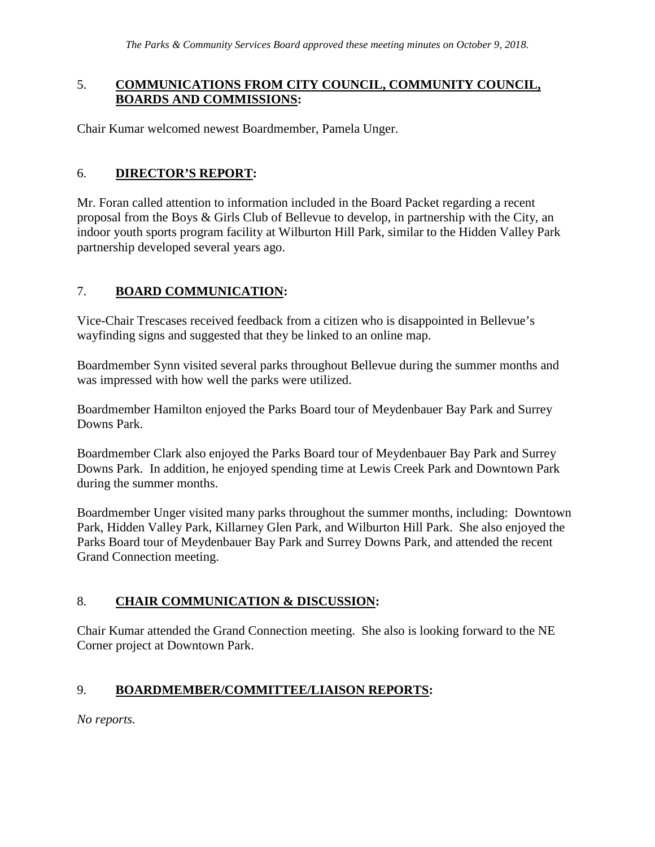### 5. **COMMUNICATIONS FROM CITY COUNCIL, COMMUNITY COUNCIL, BOARDS AND COMMISSIONS:**

Chair Kumar welcomed newest Boardmember, Pamela Unger.

## 6. **DIRECTOR'S REPORT:**

Mr. Foran called attention to information included in the Board Packet regarding a recent proposal from the Boys & Girls Club of Bellevue to develop, in partnership with the City, an indoor youth sports program facility at Wilburton Hill Park, similar to the Hidden Valley Park partnership developed several years ago.

# 7. **BOARD COMMUNICATION:**

Vice-Chair Trescases received feedback from a citizen who is disappointed in Bellevue's wayfinding signs and suggested that they be linked to an online map.

Boardmember Synn visited several parks throughout Bellevue during the summer months and was impressed with how well the parks were utilized.

Boardmember Hamilton enjoyed the Parks Board tour of Meydenbauer Bay Park and Surrey Downs Park.

Boardmember Clark also enjoyed the Parks Board tour of Meydenbauer Bay Park and Surrey Downs Park. In addition, he enjoyed spending time at Lewis Creek Park and Downtown Park during the summer months.

Boardmember Unger visited many parks throughout the summer months, including: Downtown Park, Hidden Valley Park, Killarney Glen Park, and Wilburton Hill Park. She also enjoyed the Parks Board tour of Meydenbauer Bay Park and Surrey Downs Park, and attended the recent Grand Connection meeting.

# 8. **CHAIR COMMUNICATION & DISCUSSION:**

Chair Kumar attended the Grand Connection meeting. She also is looking forward to the NE Corner project at Downtown Park.

# 9. **BOARDMEMBER/COMMITTEE/LIAISON REPORTS:**

*No reports.*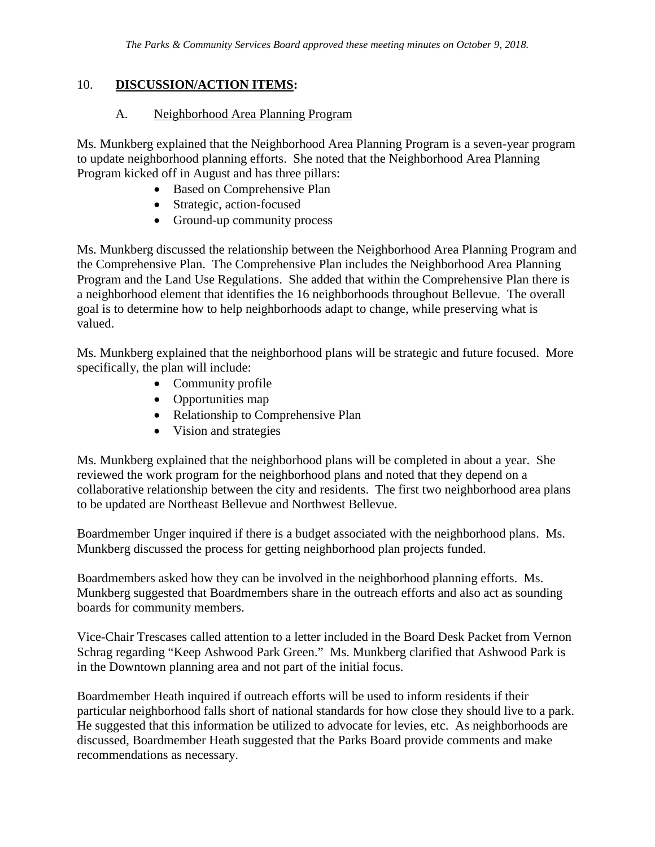### 10. **DISCUSSION/ACTION ITEMS:**

### A. Neighborhood Area Planning Program

Ms. Munkberg explained that the Neighborhood Area Planning Program is a seven-year program to update neighborhood planning efforts. She noted that the Neighborhood Area Planning Program kicked off in August and has three pillars:

- Based on Comprehensive Plan
- Strategic, action-focused
- Ground-up community process

Ms. Munkberg discussed the relationship between the Neighborhood Area Planning Program and the Comprehensive Plan. The Comprehensive Plan includes the Neighborhood Area Planning Program and the Land Use Regulations. She added that within the Comprehensive Plan there is a neighborhood element that identifies the 16 neighborhoods throughout Bellevue. The overall goal is to determine how to help neighborhoods adapt to change, while preserving what is valued.

Ms. Munkberg explained that the neighborhood plans will be strategic and future focused. More specifically, the plan will include:

- Community profile
- Opportunities map
- Relationship to Comprehensive Plan
- Vision and strategies

Ms. Munkberg explained that the neighborhood plans will be completed in about a year. She reviewed the work program for the neighborhood plans and noted that they depend on a collaborative relationship between the city and residents. The first two neighborhood area plans to be updated are Northeast Bellevue and Northwest Bellevue.

Boardmember Unger inquired if there is a budget associated with the neighborhood plans. Ms. Munkberg discussed the process for getting neighborhood plan projects funded.

Boardmembers asked how they can be involved in the neighborhood planning efforts. Ms. Munkberg suggested that Boardmembers share in the outreach efforts and also act as sounding boards for community members.

Vice-Chair Trescases called attention to a letter included in the Board Desk Packet from Vernon Schrag regarding "Keep Ashwood Park Green." Ms. Munkberg clarified that Ashwood Park is in the Downtown planning area and not part of the initial focus.

Boardmember Heath inquired if outreach efforts will be used to inform residents if their particular neighborhood falls short of national standards for how close they should live to a park. He suggested that this information be utilized to advocate for levies, etc. As neighborhoods are discussed, Boardmember Heath suggested that the Parks Board provide comments and make recommendations as necessary.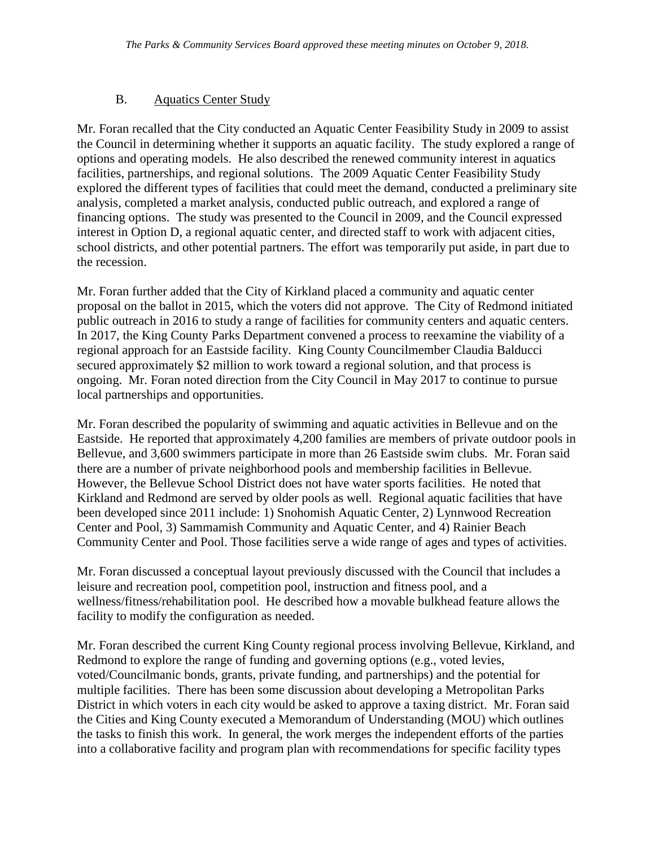## B. Aquatics Center Study

Mr. Foran recalled that the City conducted an Aquatic Center Feasibility Study in 2009 to assist the Council in determining whether it supports an aquatic facility. The study explored a range of options and operating models. He also described the renewed community interest in aquatics facilities, partnerships, and regional solutions. The 2009 Aquatic Center Feasibility Study explored the different types of facilities that could meet the demand, conducted a preliminary site analysis, completed a market analysis, conducted public outreach, and explored a range of financing options. The study was presented to the Council in 2009, and the Council expressed interest in Option D, a regional aquatic center, and directed staff to work with adjacent cities, school districts, and other potential partners. The effort was temporarily put aside, in part due to the recession.

Mr. Foran further added that the City of Kirkland placed a community and aquatic center proposal on the ballot in 2015, which the voters did not approve. The City of Redmond initiated public outreach in 2016 to study a range of facilities for community centers and aquatic centers. In 2017, the King County Parks Department convened a process to reexamine the viability of a regional approach for an Eastside facility. King County Councilmember Claudia Balducci secured approximately \$2 million to work toward a regional solution, and that process is ongoing. Mr. Foran noted direction from the City Council in May 2017 to continue to pursue local partnerships and opportunities.

Mr. Foran described the popularity of swimming and aquatic activities in Bellevue and on the Eastside. He reported that approximately 4,200 families are members of private outdoor pools in Bellevue, and 3,600 swimmers participate in more than 26 Eastside swim clubs. Mr. Foran said there are a number of private neighborhood pools and membership facilities in Bellevue. However, the Bellevue School District does not have water sports facilities. He noted that Kirkland and Redmond are served by older pools as well. Regional aquatic facilities that have been developed since 2011 include: 1) Snohomish Aquatic Center, 2) Lynnwood Recreation Center and Pool, 3) Sammamish Community and Aquatic Center, and 4) Rainier Beach Community Center and Pool. Those facilities serve a wide range of ages and types of activities.

Mr. Foran discussed a conceptual layout previously discussed with the Council that includes a leisure and recreation pool, competition pool, instruction and fitness pool, and a wellness/fitness/rehabilitation pool. He described how a movable bulkhead feature allows the facility to modify the configuration as needed.

Mr. Foran described the current King County regional process involving Bellevue, Kirkland, and Redmond to explore the range of funding and governing options (e.g., voted levies, voted/Councilmanic bonds, grants, private funding, and partnerships) and the potential for multiple facilities. There has been some discussion about developing a Metropolitan Parks District in which voters in each city would be asked to approve a taxing district. Mr. Foran said the Cities and King County executed a Memorandum of Understanding (MOU) which outlines the tasks to finish this work. In general, the work merges the independent efforts of the parties into a collaborative facility and program plan with recommendations for specific facility types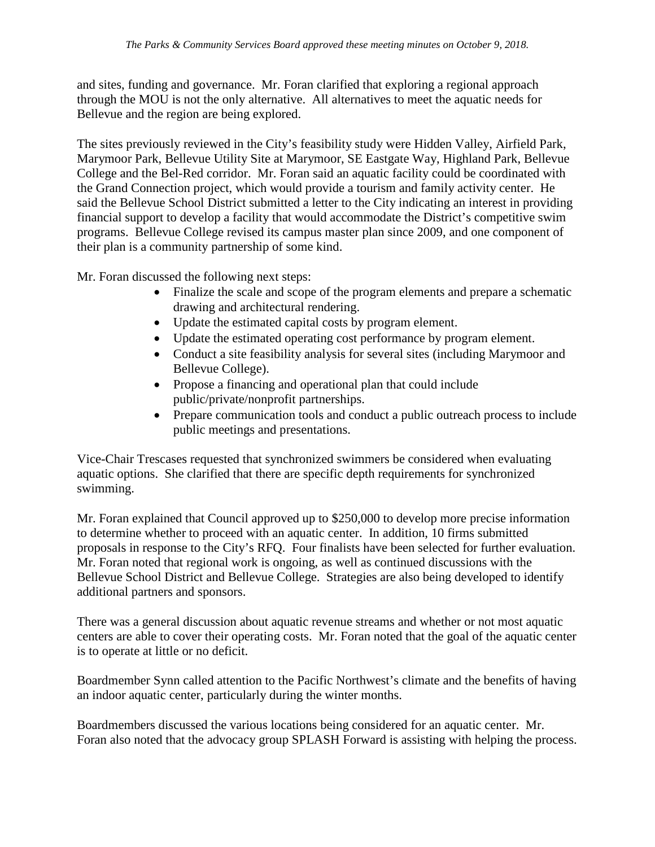and sites, funding and governance. Mr. Foran clarified that exploring a regional approach through the MOU is not the only alternative. All alternatives to meet the aquatic needs for Bellevue and the region are being explored.

The sites previously reviewed in the City's feasibility study were Hidden Valley, Airfield Park, Marymoor Park, Bellevue Utility Site at Marymoor, SE Eastgate Way, Highland Park, Bellevue College and the Bel-Red corridor. Mr. Foran said an aquatic facility could be coordinated with the Grand Connection project, which would provide a tourism and family activity center. He said the Bellevue School District submitted a letter to the City indicating an interest in providing financial support to develop a facility that would accommodate the District's competitive swim programs. Bellevue College revised its campus master plan since 2009, and one component of their plan is a community partnership of some kind.

Mr. Foran discussed the following next steps:

- Finalize the scale and scope of the program elements and prepare a schematic drawing and architectural rendering.
- Update the estimated capital costs by program element.
- Update the estimated operating cost performance by program element.
- Conduct a site feasibility analysis for several sites (including Marymoor and Bellevue College).
- Propose a financing and operational plan that could include public/private/nonprofit partnerships.
- Prepare communication tools and conduct a public outreach process to include public meetings and presentations.

Vice-Chair Trescases requested that synchronized swimmers be considered when evaluating aquatic options. She clarified that there are specific depth requirements for synchronized swimming.

Mr. Foran explained that Council approved up to \$250,000 to develop more precise information to determine whether to proceed with an aquatic center. In addition, 10 firms submitted proposals in response to the City's RFQ. Four finalists have been selected for further evaluation. Mr. Foran noted that regional work is ongoing, as well as continued discussions with the Bellevue School District and Bellevue College. Strategies are also being developed to identify additional partners and sponsors.

There was a general discussion about aquatic revenue streams and whether or not most aquatic centers are able to cover their operating costs. Mr. Foran noted that the goal of the aquatic center is to operate at little or no deficit.

Boardmember Synn called attention to the Pacific Northwest's climate and the benefits of having an indoor aquatic center, particularly during the winter months.

Boardmembers discussed the various locations being considered for an aquatic center. Mr. Foran also noted that the advocacy group SPLASH Forward is assisting with helping the process.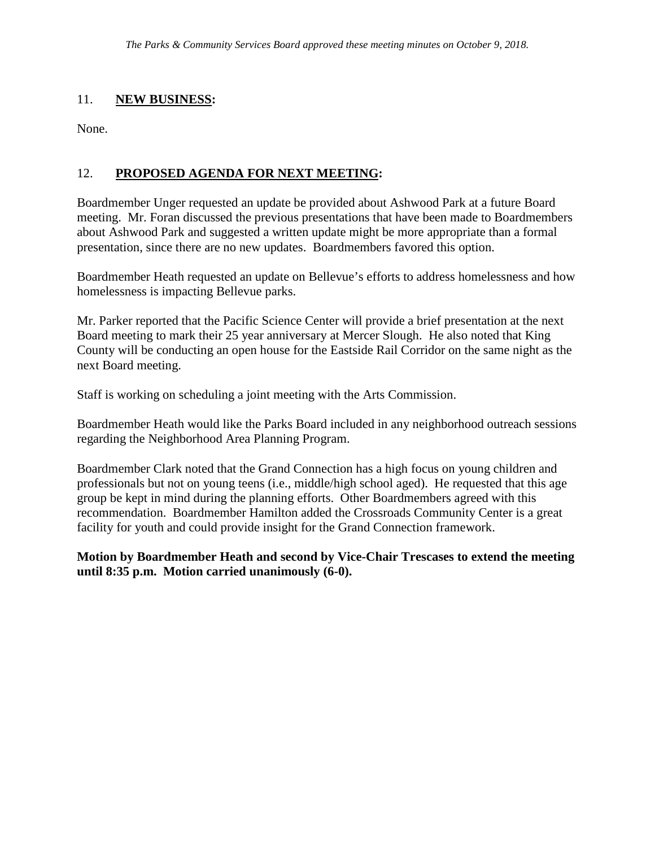### 11. **NEW BUSINESS:**

None.

### 12. **PROPOSED AGENDA FOR NEXT MEETING:**

Boardmember Unger requested an update be provided about Ashwood Park at a future Board meeting. Mr. Foran discussed the previous presentations that have been made to Boardmembers about Ashwood Park and suggested a written update might be more appropriate than a formal presentation, since there are no new updates. Boardmembers favored this option.

Boardmember Heath requested an update on Bellevue's efforts to address homelessness and how homelessness is impacting Bellevue parks.

Mr. Parker reported that the Pacific Science Center will provide a brief presentation at the next Board meeting to mark their 25 year anniversary at Mercer Slough. He also noted that King County will be conducting an open house for the Eastside Rail Corridor on the same night as the next Board meeting.

Staff is working on scheduling a joint meeting with the Arts Commission.

Boardmember Heath would like the Parks Board included in any neighborhood outreach sessions regarding the Neighborhood Area Planning Program.

Boardmember Clark noted that the Grand Connection has a high focus on young children and professionals but not on young teens (i.e., middle/high school aged). He requested that this age group be kept in mind during the planning efforts. Other Boardmembers agreed with this recommendation. Boardmember Hamilton added the Crossroads Community Center is a great facility for youth and could provide insight for the Grand Connection framework.

**Motion by Boardmember Heath and second by Vice-Chair Trescases to extend the meeting until 8:35 p.m. Motion carried unanimously (6-0).**